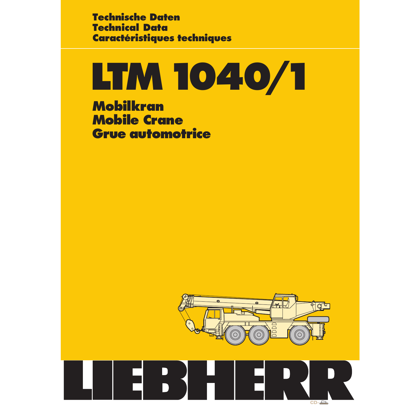**Technische Daten Technical Data Caractéristiques techniques**

# **LTM1040/1**

**Mobilkran Mobile Crane Grue automotrice**



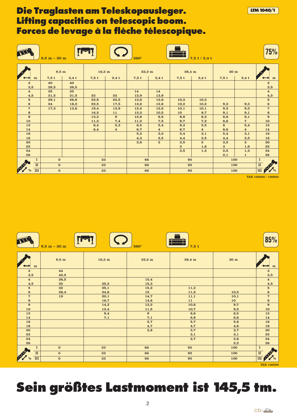### **Die Traglasten am Teleskopausleger. Lifting capacities on telescopic boom. Forces de levage à la flèche télescopique.**

|                           | $9,5 m - 30 m$ |               |                  |                | $360^\circ$      |                |                  | $7,5$ t / 2,4 t |                 |                               | 75%                               |
|---------------------------|----------------|---------------|------------------|----------------|------------------|----------------|------------------|-----------------|-----------------|-------------------------------|-----------------------------------|
|                           | 9,5 m          |               | $16,3 \text{ m}$ |                | $23,2 \text{ m}$ |                | $28,4 \text{ m}$ |                 | 30 <sub>m</sub> |                               |                                   |
| m                         |                | $7.5 t$ 2.4 t |                  | $7,5t$ 2,4t    | $7,5t$ 2,4t      |                | 7.5t             | $2,4$ t         | $7,5$ t         | $2,4$ t                       | m                                 |
| 3<br>3,5                  | 40<br>38,5     | 40<br>38,5    |                  |                |                  |                |                  |                 |                 |                               | $\bf{3}$<br>3,5                   |
| $\overline{\mathbf{4}}$   | 35             | 35            |                  |                | 14               | 14             |                  |                 |                 |                               | $\overline{\mathbf{4}}$           |
| 4,5                       | 31,5           | 31,5          | 23               | 23             | 13,9             | 13,9           |                  |                 |                 |                               | 4,5                               |
| $5\overline{)}$           | 29,1           | 26,8          | 22,8             | 22,5           | 13,8             | 13,8           | 10,3             | 10,3            |                 |                               | $5\phantom{.0}$                   |
| $6\phantom{1}$            | 24             | 18,2          | 22,5             | 17,5           | 13,6             | 13,6           | 10,2             | 10,2            | 9,3             | 9,3                           | $\bf 6$                           |
| $\boldsymbol{7}$          | 17,3           | 13,6          | 19,4             | 13,9           | 13,4             | 12,6           | 10,1             | 10,1            | 9,2             | 9,2                           | $\boldsymbol{7}$                  |
| 8                         |                |               | 16,2             | 11             | 13,3             | 10,5           | 10 <sub>1</sub>  | 9,7             | 9,1             | 9,1                           | $\bf8$                            |
| 9                         |                |               | 13,3             | 9 <sup>°</sup> | 12,8             | 8,9            | 9,8              | 8,3             | 8,8             | 8,1                           | $\boldsymbol{9}$                  |
| 10                        |                |               | 11,3             | 7,4            | 11,2             | 7,5            | 9,7              | 7,2             | 8,6             | $\mathbf 7$                   | 10                                |
| 12                        |                |               | 8,4              | 5,3            | 8,5              | 5,4            | 8,3              | 5,5             | 8               | 5,4                           | 12                                |
| 14                        |                |               | 6,4              | $\overline{4}$ | 6,7              | $\overline{4}$ | 6,7              | 4               | 6,6             | $\overline{4}$                | 14                                |
| 16                        |                |               |                  |                | 5,3              | 3,2            | 5,4              | 3,1             | 5,4             | 3,1                           | 16                                |
| 18                        |                |               |                  |                | 4,3              | 2,5            | 4,4              | 2,5             | 4,4             | $2,5$                         | 18                                |
| 20                        |                |               |                  |                | 3,6              | $2^{\circ}$    | 3,5              | $\mathbf{2}$    | 3,5             | $\overline{2}$                | 20                                |
| 22                        |                |               |                  |                |                  |                | 3 <sup>1</sup>   | 1,6             | $\mathbf{3}$    | 1,6                           | 22                                |
| 24                        |                |               |                  |                |                  |                | 2,5              | 1,3             | 2,5             | 1,3                           | 24                                |
| 26                        |                |               |                  |                |                  |                |                  |                 | 2,1             | 1                             | 26                                |
| 1                         | $\mathbf{0}$   |               | 33               |                | 66               |                | 92               |                 | 100             |                               | 1                                 |
| $\,$ II                   | $\mathbf{0}$   |               | 33               |                | 66               |                | 92               |                 | 100             |                               | <b>CONTRACTOR</b><br>$\mathbf{H}$ |
| LA<br>$\mathbf{III}$<br>% | $\mathbf{o}$   |               | 33               |                | 66               |                | 92               |                 | 100             | $\boldsymbol{r}$<br>$\rm III$ |                                   |

TAB 100002 / 100003

**LTM1040/1**



| 3,5                         | 42,5         |      |      |      |      | 3,5                               |
|-----------------------------|--------------|------|------|------|------|-----------------------------------|
| $\overline{\mathbf{4}}$     | 38,5         |      | 15,4 |      |      | $\overline{\mathbf{4}}$           |
| 4,5                         | 35           | 25,3 | 15,3 |      |      | 4,5                               |
| $5\phantom{.0}$             | 32           | 25,1 | 15,2 | 11,3 |      | $5\phantom{.0}$                   |
| $6\phantom{1}$              | 26,4         | 24,8 | 15   | 11,2 | 10,2 | $6\phantom{a}$                    |
| $\overline{7}$              | 19           | 20,1 | 14,7 | 11,1 | 10,1 | $\mathbf 7$                       |
| 8                           |              | 16,7 | 14,6 | 11   | 10   | 8                                 |
| 9                           |              | 14,3 | 13,2 | 10,8 | 9,7  | $\pmb{9}$                         |
| 10                          |              | 12,4 | 11,5 | 10,7 | 9,5  | 10                                |
| 12                          |              | 9,4  | 9    | 8,6  | 8,5  | 12                                |
| 14                          |              | 7,1  | 7,1  | 6,9  | 6,8  | 14                                |
| 16                          |              |      | 5,7  | 5,7  | 5,6  | 16                                |
| 18                          |              |      | 4,7  | 4,7  | 4,6  | 18                                |
| 20                          |              |      | 3,8  | 3,7  | 3,7  | 20                                |
| 22                          |              |      |      | 3,1  | 3,1  | 22                                |
| 24                          |              |      |      | 2,7  | 2,6  | 24                                |
| 26                          |              |      |      |      | 2,2  | 26                                |
| $\mathbf I$                 | $\mathbf 0$  | 33   | 66   | 92   | 100  | $\mathbf I$                       |
| <b>PALL</b><br>$\mathbf{I}$ | $\mathbf{0}$ | 33   | 66   | 92   | 100  | <b>CONTRACTOR</b><br>$\mathbf{I}$ |
| III<br>%                    | $\mathbf 0$  | 33   | 66   | 92   | 100  | $\mathbb{H}$ $\mathbb{P}'$ %      |

TAB 100020

# **Sein größtes Lastmoment ist 145,5 tm.**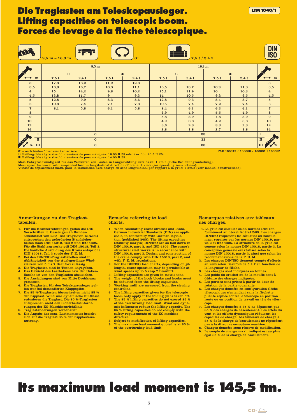### **Die Traglasten am Teleskopausleger. Lifting capacities on telescopic boom. Forces de levage à la flèche télescopique.**



0° = nach hinten / over rear / en arrière<br>○ Reifengröße / tyre size / dimensions de pneumatiques: 16.00 R 25 oder / or / ou 20.5 R 25.<br>● Reifengröße / tyre size / dimensions de pneumatiques: 14.00 R 25.

Max. Fahrgeschwindigkeit für das Verfahren von Lasten in Längsrichtung zum Kran: 1 km/h (siehe Bedienungsanleitung).<br>Max. speed for travel with suspended load in longitudinal direction of crane: 1 km/h (see operating instr

#### Anmerkungen zu den Traglasttabellen.

- 1. Für die Kranberechnungen gelten die DIN-Vorschriften lt. Gesetz gemäß Bundesarbeitsblatt von 2/85: Die Traglasten DIN/ISO entsprechen den geforderten Standsicherheiten nach DIN 15019, Teil 2 und ISO 4305. Für die Stahltragwerke gilt DIN 15018, Teil 3. Die bauliche Ausbildung des Krans entspricht DIN 15018, Teil 2 sowie der F. E. M.
- 2. Bei den DIN/ISO-Traglasttabellen sind in
- Abhängigkeit von der Auslegerlänge Wind-<br>stärken von 5 bis 7 Beaufort zulässig.<br>3. Die Traglasten sind in Tonnen angegeben.<br>4. Das Gewicht des Lasthakens bzw. der Haken-<br>flasche ist von den Traglasten abzuziehen.<br>5. Die Au
- remessen
- 6. Die Traglasten für den Teleskopausleger gel-
- ten nur bei demontierter Klappspitze. 7. Die 85 %-Traglasten überschreiten nicht 85 % der Kipplast. Wind und dynamische Einflüsse reduzieren die Traglast. Die 85 %-Traglasten entsprechen nicht den Sicherheitsanforderungen der EG-Maschinenrichtlinie.
- 8. Traglaständerungen vorbehalten. 9. Die Angabe des max. Lastmomentes bezieht
- sich auf die Traglast 85 % der Kipplastausnutzung.

#### Remarks referring to load charts.

- 1. When calculating crane stresses and loads, German Industrial Standards (DIN) are applicable, in conformity with German legisla-tion (published 2/85): The lifting capacities (stability margin) DIN/ISO are as laid down in DIN 15019, part 2, and ISO 4305. The crane's structural steel works is in accordance with DIN 15018, part 3. Design and construction of the crane comply with DIN 15018, part 2, and with F. E. M. regulations. 2. For the DIN/ISO load charts, depending on jib
- length, crane operation may be permissible at wind speeds up to 5 resp.7 Beaufort.
- 3. Lifting capacities are given in metric tons. 4. The weight of the hook blocks and hooks must
- be deducted from the lifting capacities. 5. Working radii are measured from the slewing centreline.
- 6. The lifting capacities given for the telescopic boom only apply if the folding jib is taken off.
- 7. The 85 % lifting capacities do not exceed 85 % of the overturning load limit. Wind and dyna-mic influences reduce the lifting capacity. The 85 % lifting capacities do not comply with the safety requirements of the EC machine directive
- Subject to modification of lifting capacities. The maximum load moment quoted is at 85 % of the overturning load limit.

#### Remarques relatives aux tableaux des charges.

1.La grue est calculée selon normes DIN conformément au décret fédéral 2/85. Les charges DIN/ISO respectent les sécurités au bascule-ment requises par les normes DIN 15019, partie 2 et ISO 4305. La structure de la grue est conçue selon la norme DIN 15018, partie 3. La conception générale est réalisée selon la norme DIN 15018, partie 2, ainsi que selon les

**LTM1040/1**

- recommandations de la F. E. M. 2. Les charges DIN/ISO tiennent compte d'efforts au vent selon Beaufort de 5 à 7 en fonction de la longueur de flèche.
- Les charges sont indiquées en tonnes.
- 4. Les poids du crochet ou de la moufle sont à déduire des charges indiquées.
- 5. Les portées sont prises à partir de l'axe de rotation de la partie tournante.
- 6. Les charges données en configuration flèche télescopiques s'entendent sans la fléchette pliante repliée contre le télescope en position route ou en position de travail en tête de télescope.
- Les charges données à 85 % ne dépassent pas 85 % des charges de basculement. Les effets du vent et les efforts dynamiques réduisent les capacités de charge. Les tableaux de charge à 85 % de la charge de basculement ne répondent pas à la directive européene machine.
- 8. Charges données sous réserve de modification.<br>9. Le couple de charge maxi, indiqué est au plus 9. Le couple de charge maxi. indiqué est au plus égal 85 % de la charge de basculement.

# **Its maximum load moment is 145,5 tm.**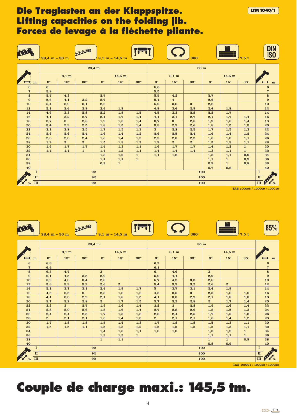# **Die Traglasten an der Klappspitze. Lifting capacities on the folding jib. Forces de levage à la fléchette pliante.**

|                             | $28.4 m - 30 m$       |                 |                |                      | $8,1 m - 14,5 m$ |              |                |                 | $360^\circ$      |             |                  | 7.5t                             | <b>DIN</b><br><b>ISO</b>                    |
|-----------------------------|-----------------------|-----------------|----------------|----------------------|------------------|--------------|----------------|-----------------|------------------|-------------|------------------|----------------------------------|---------------------------------------------|
|                             |                       |                 | 28,4 m         |                      |                  |              | 30 m           |                 |                  |             |                  |                                  |                                             |
|                             |                       | $8,1 \text{ m}$ |                |                      | $14,5 \text{ m}$ |              |                | $8,1 \text{ m}$ |                  |             | $14,5 \text{ m}$ |                                  |                                             |
| m                           | $\mathbf{O}^{\circ}$  | $15^{\circ}$    | $30^\circ$     | $\mathbf{O}^{\circ}$ | $15^{\circ}$     | $30^\circ$   | $0^{\circ}$    | $15^{\circ}$    | $30^\circ$       | $0^{\circ}$ | $15^{\circ}$     | $30^\circ$                       | ${\bf m}$                                   |
| 6<br>$\overline{7}$         | $6\phantom{1}$<br>5,8 |                 |                |                      |                  |              | 5,6<br>5,5     |                 |                  |             |                  |                                  | 6<br>$\boldsymbol{7}$                       |
| 8                           | 5,7                   | 4,3             |                | 2,7                  |                  |              | 5,5            | 4,2             |                  | 2,7         |                  |                                  | 8                                           |
| 9                           | 5,6                   | 4,1             | 3,2            | 2,7                  |                  |              | 5,4            | $\overline{4}$  |                  | 2,6         |                  |                                  | $\bf{9}$                                    |
| 10                          | 5,4                   | 3,9             | 3,1            | 2,6                  |                  |              | 5,2            | 3,8             | $\bf{3}$         | 2,6         |                  |                                  | 10                                          |
| 12                          | 5,1                   | 3,6             | 2,9            | 2,4                  | 1,9              |              | 4,9            | 3,6             | 2,9              | 2,4         | 1,8              |                                  | 12                                          |
| 14                          | 4,6                   | 3,3             | 2,8            | 2,2                  | 1,8              | 1,5          | 4,5            | 3,3             | 2,8              | 2,2         | 1,7              |                                  | 14                                          |
| 16                          | 4,1                   | 3,2             | 2,7            | 2,1                  | 1,7              | 1,4          | 4,1            | 3,1             | 2,7              | 2,1         | 1,7              | 1,4                              | 16                                          |
| 18                          | 3,7                   | $\overline{3}$  | 2,6            | 1,9                  | 1,6              | 1,4          | 3,7            | $\mathbf{3}$    | 2,6              | 1,9         | 1,6              | 1,4                              | 18                                          |
| 20                          | 3,4                   | 2,9             | 2,5            | 1,8                  | 1,5              | 1,4          | 3,3            | 2,9             | 2,6              | 1,8         | 1,5              | 1,3                              | 20                                          |
| 22                          | 3,1                   | 2,8             | 2,5            | 1,7                  | 1,5              | 1,3          | $\overline{3}$ | 2,8             | 2,5              | 1,7         | 1,5              | 1,2                              | 22                                          |
| 24                          | 2,6                   | 2,6             | 2,4            | 1,6                  | 1,4              | 1,2          | 2,6            | 2,5             | 2,4              | 1,6         | 1,4              | 1,2                              | 24                                          |
| 26                          | 2,3                   | 2,3             | 2,4            | 1,6                  | 1,4              | 1,2          | 2,2            | 2,3             | 2,2              | 1,6         | 1,3              | 1,1                              | 26                                          |
| 28                          | 1,9                   | $\overline{2}$  | $\overline{2}$ | 1,5                  | 1,3              | 1,2          | 1,9            | $\mathbf{2}$    | $\boldsymbol{2}$ | 1,5         | 1,3              | 1,1                              | 28                                          |
| 30                          | 1,6                   | 1,7             | 1,7            | 1,4                  | 1,3              | 1,1          | 1,6            | 1,7             | 1,7              | 1,4         | 1,2              | $\mathbf{1}$                     | 30                                          |
| 32                          | 1,4                   | 1,4             | $\mathbf{1}$   | 1,4                  | 1,2              | 1,1          | 1,4            | 1,4             | 1,4              | 1,3         | 1,1              | $\mathbf{1}$                     | 32                                          |
| 34                          |                       |                 |                | 1,3                  | 1,2              | $\mathbf{1}$ | 1,1            | 1,2             |                  | 1,3         | 1,1              | 0,9                              | 34                                          |
| 36                          |                       |                 |                | 1,1                  | 1,1              | $\mathbf{1}$ |                |                 |                  | 1,1         | $\mathbf{1}$     | 0,9                              | 36                                          |
| 38                          |                       |                 |                | 0,9                  | $\mathbf{1}$     |              |                |                 |                  | 0,9         | $\mathbf{1}$     | 0,8                              | 38                                          |
| 40                          |                       |                 |                |                      |                  |              |                |                 |                  | 0,7         | 0,8              |                                  | 40                                          |
| $\bf{I}$                    | 92                    |                 |                |                      |                  |              | 100            |                 |                  |             |                  | $\mathbf I$                      |                                             |
| $\rm II$                    |                       |                 | 92             |                      |                  |              | 100            |                 |                  |             |                  | $\rm \overline{II}$<br>$\bullet$ |                                             |
| A<br>$\overline{m}$<br>$\%$ |                       |                 | 92             |                      |                  |              |                |                 |                  | 100         |                  |                                  | $\mathbb{H}$ $\mathbb{P}$<br>$\frac{1}{96}$ |

TAB 100008 / 100009 / 100010

**LTM1040/1**

|                      | $28.4 m - 30 m$ |                 | <b>DOWNO</b>   |              | $8,1 m - 14,5 m$ |              |                 |                 | $360^\circ$                 |                      |                  | 7,5t         | 85%                            |
|----------------------|-----------------|-----------------|----------------|--------------|------------------|--------------|-----------------|-----------------|-----------------------------|----------------------|------------------|--------------|--------------------------------|
|                      |                 |                 | 28,4 m         |              |                  |              |                 |                 |                             |                      |                  |              |                                |
|                      |                 | $8,1 \text{ m}$ |                |              | $14,5$ m         |              |                 | $8,1 \text{ m}$ |                             |                      | $14,5 \text{ m}$ |              |                                |
| m                    | $0^{\circ}$     | $15^{\circ}$    | $30^\circ$     | $0^{\circ}$  | $15^\circ$       | $30^\circ$   | $0^{\circ}$     | $15^{\circ}$    | $30^\circ$                  | $\mathbf{O}^{\circ}$ | $15^{\circ}$     | $30^\circ$   | m                              |
| $6\phantom{1}6$      | 6,6             |                 |                |              |                  |              | 6,2             |                 |                             |                      |                  |              | $\bf 6$                        |
| 7                    | 6,4             |                 |                |              |                  |              | 6,1             |                 |                             |                      |                  |              | $\overline{7}$                 |
| 8                    | 6,3             | 4,7             |                | $\bf{3}$     |                  |              | $6\phantom{1}$  | 4,6             |                             | $\bf{3}$             |                  |              | 8                              |
| 9                    | 6,1             | 4,5             | 3,5            | 2,9          |                  |              | 5,9             | 4,4             |                             | 2,9                  |                  |              | $\boldsymbol{9}$               |
| 10                   | 5,9             | 4,3             | 3,4            | 2,8          |                  |              | 5,7             | 4,2             | 3,3                         | 2,8                  |                  |              | 10                             |
| 12                   | 5,6             | 3,9             | 3,2            | 2,6          | $\boldsymbol{2}$ |              | 5,4             | 3,9             | 3,2                         | 2,6                  | $\boldsymbol{2}$ |              | 12                             |
| 14                   | 5,1             | 3,7             | 3,1            | 2,4          | 1,9              | 1,7          | $5\overline{5}$ | 3,7             | 3,1                         | 2,4                  | 1,9              |              | 14                             |
| 16                   | 4,5             | 3,5             | $\overline{3}$ | 2,3          | 1,8              | 1,6          | 4,5             | 3,5             | $\bf{3}$                    | 2,3                  | 1,8              | 1,6          | 16                             |
| 18                   | 4,1             | 3,3             | 2,9            | 2,1          | 1,8              | 1,5          | 4,1             | 3,3             | 2,9                         | 2,1                  | 1,8              | 1,5          | 18                             |
| 20                   | 3,7             | 3,2             | 2,8            | $\mathbf{2}$ | 1,7              | 1,5          | 3,7             | 3,2             | 2,8                         | $\mathbf{2}$         | 1,7              | 1,4          | 20                             |
| 22                   | 3,2             | $\overline{3}$  | 2,7            | 1,9          | 1,6              | 1,4          | 3,2             | $\bf{3}$        | 2,8                         | 1,9                  | 1,6              | 1,4          | 22                             |
| 24                   | 2,8             | 2,9             | 2,6            | 1,8          | 1,6              | 1,4          | 2,7             | 2,8             | 2,6                         | 1,8                  | 1,5              | 1,3          | 24                             |
| 26                   | 2,4             | 2,4             | 2,5            | 1,7          | 1,5              | 1,3          | 2,3             | 2,4             | 2,5                         | 1,7                  | 1,5              | 1,3          | 26                             |
| 28                   | $\mathbf{2}$    | 2,1             | 2,1            | 1,6          | 1,4              | 1,3          | $\mathbf{2}$    | 2,1             | 2,1                         | 1,6                  | 1,4              | 1,2          | 28                             |
| 30                   | 1,7             | 1,8             | 1,8            | 1,5          | 1,4              | 1,3          | 1,7             | 1,8             | 1,8                         | 1,5                  | 1,3              | 1,1          | 30                             |
| 32                   | 1,5             | 1,5             | 1,1            | 1,5          | 1,3              | 1,2          | 1,5             | 1,5             | 1,5                         | 1,5                  | 1,3              | 1,1          | 32                             |
| 34                   |                 |                 |                | 1,4          | 1,3              | 1,1          | 1,3             | 1,3             |                             | 1,3                  | 1,2              | $\mathbf{1}$ | 34                             |
| 36                   |                 |                 |                | 1,2          | 1,2              | $\mathbf{1}$ |                 |                 |                             | 1,1                  | 1,1              | $\mathbf{1}$ | 36                             |
| 38                   |                 |                 |                | $\mathbf{1}$ | 1,1              |              |                 |                 |                             | $\mathbf{1}$         | $\mathbf{1}$     | 0,9          | 38                             |
| 40                   |                 |                 |                |              |                  |              |                 |                 |                             | 0,8                  | 0,9              |              | 40                             |
| $\bf{I}$             | 92              |                 |                |              |                  |              | 100             |                 |                             |                      |                  |              | $\bf{I}$                       |
| $\rm II$             | 92              |                 |                |              |                  |              | 100             |                 |                             |                      |                  |              | $\rm II$<br><b>PARTICIPALE</b> |
| $\mathbf{H}$<br>$\%$ |                 | 92<br>100       |                |              |                  |              |                 |                 | $\rm III$<br>$\mathbb{Z}$ % |                      |                  |              |                                |
|                      |                 |                 |                |              |                  |              |                 |                 |                             |                      |                  |              | TAB 100021 / 100022 / 100023   |

# **Couple de charge maxi.: 145,5 tm.**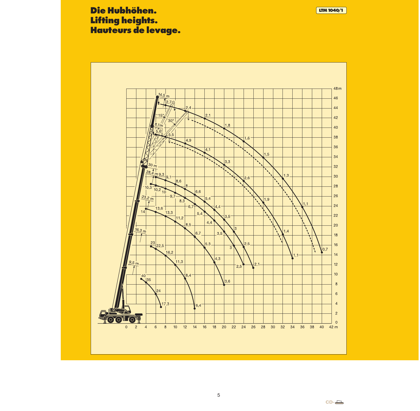# **Die Hubhöhen. Lifting heights. Hauteurs de levage.**



5

**LTM1040/1**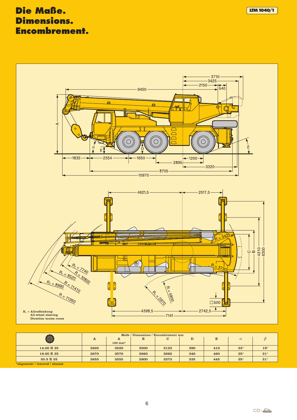# **Die Maße. LTM1040/1 Dimensions. Encombrement.**



|                                |              | Maße / Dimensions / Encombrement mm |      |              |     |     |              |            |  |  |  |  |
|--------------------------------|--------------|-------------------------------------|------|--------------|-----|-----|--------------|------------|--|--|--|--|
| ۱                              | $\mathbf{A}$ | A                                   | B    | $\mathbf{C}$ | D   | E   | $\alpha$     |            |  |  |  |  |
|                                |              | $100$ mm <sup>*</sup>               |      |              |     |     |              |            |  |  |  |  |
| 14.00 R 25                     | 3620         | 3520                                | 2500 | 2123         | 290 | 410 | $23^\circ$   | $19^\circ$ |  |  |  |  |
| 16.00 R 25                     | 3670         | 3570                                | 2660 | 2660         | 340 | 460 | $25^{\circ}$ | $21^\circ$ |  |  |  |  |
| 20.5 R 25                      | 3655         | 3555                                | 2800 | 2273         | 335 | 445 | $25^\circ$   | $21^\circ$ |  |  |  |  |
| *abgesenkt / lowered / abaissé |              |                                     |      |              |     |     |              |            |  |  |  |  |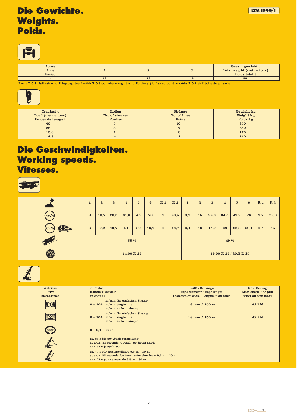

| Achse<br>Axle<br><b>Essieu</b> |  | Gesamtgewicht t<br>Total weight (metric tons)<br>Poids total t |
|--------------------------------|--|----------------------------------------------------------------|
|                                |  | 36                                                             |

<sup>1)</sup> mit 7,5 t Ballast und Klappspitze / with 7,5 t counterweight and folding jib / avec contrepoids 7,5 t et fléchette pliante



| Traglast t         | Rollen         | <b>Stränge</b> | Gewicht kg |
|--------------------|----------------|----------------|------------|
| Load (metric tons) | No. of sheaves | No. of lines   | Weight kg  |
| Forces de levage t | <b>Poulies</b> | <b>Brins</b>   | Poids kg   |
| 40                 |                | 10             | 350        |
| 28                 |                |                | 350        |
| 12,6               |                | ౿              | 170        |
| 4,3                |                |                | 110        |

### **Die Geschwindigkeiten. Working speeds. Vitesses.**

|        | $\mathbf{1}$    | $\overline{2}$ | $\mathbf{3}$ | $\overline{4}$ | $5\phantom{.0}$ | $6\phantom{1}$ | R <sub>1</sub>  | R 2                    | $\mathbf{1}$ | $\boldsymbol{2}$ | 3    | $\overline{4}$ | $5\overline{5}$ | 6    | R <sub>1</sub> | R 2  |
|--------|-----------------|----------------|--------------|----------------|-----------------|----------------|-----------------|------------------------|--------------|------------------|------|----------------|-----------------|------|----------------|------|
| (km/h) | 9               | 13,7           | 20,5         | 31,6           | 45              | 70             | 9               | 20,5                   | 9,7          | 15               | 22,3 | 34,5           | 49,2            | 76   | 9,7            | 22,3 |
| (km/h  | $6\phantom{1}6$ | 9,2            | 13,7         | 21             | 30              | 46,7           | $6\phantom{1}6$ | 13,7                   | 6,4          | 10               | 14,9 | 23             | 32,8            | 50,1 | 6,4            | 15   |
| 1      |                 | 55 %           |              |                |                 |                |                 | 49 %                   |              |                  |      |                |                 |      |                |      |
| ۱      |                 | 14.00 R 25     |              |                |                 |                |                 | 16.00 R 25 / 20.5 R 25 |              |                  |      |                |                 |      |                |      |



| Antriebe          | stufenlos                                                                         | SeilØ / Seillänge                     | Max. Seilzug          |
|-------------------|-----------------------------------------------------------------------------------|---------------------------------------|-----------------------|
| <b>Drive</b>      | infinitely variable                                                               | Rope diameter / Rope length           | Max. single line pull |
| <b>Mécanismes</b> | en continu                                                                        | Diamètre du câble / Longueur du câble | Effort au brin maxi.  |
|                   | m/min für einfachen Strang<br>$0 - 104$ m/min single line<br>m/min au brin simple | 16 mm / 150 m                         | 42 kN                 |
| $\mathbb{Z}$      | m/min für einfachen Strang<br>$0 - 104$ m/min single line<br>m/min au brin simple | 16 mm / 150 m                         | 42 kN                 |
| 360               | $0 - 2,1$ min <sup>-1</sup>                                                       |                                       |                       |
|                   | ca. 33 s bis 80° Auslegerstellung                                                 |                                       |                       |
|                   | approx. 33 seconds to reach 80° boom angle<br>env. 33 s jusqu'à 80°               |                                       |                       |
|                   | ca. 77 s für Auslegerlänge 9,5 m - 30 m                                           |                                       |                       |
|                   | approx. 77 seconds for boom extension from $9.5$ m $-30$ m                        |                                       |                       |
|                   | env. 77 s pour passer de $9.5$ m $-30$ m                                          |                                       |                       |
|                   |                                                                                   |                                       |                       |

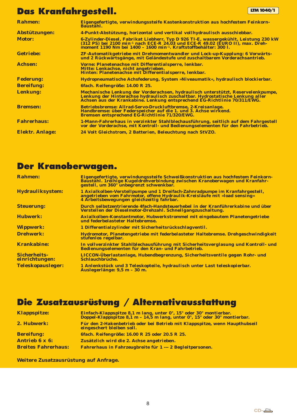# **Das Kranfahrgestell. LTM** 1040/1

| <b>Rahmen:</b>         | Eigengefertigte, verwindungssteife Kastenkonstruktion aus hochfestem Feinkorn-<br><b>Baustahl.</b>                                                                                                                                                                  |
|------------------------|---------------------------------------------------------------------------------------------------------------------------------------------------------------------------------------------------------------------------------------------------------------------|
| Abstützungen:          | 4-Punkt-Abstützung, horizontal und vertikal vollhydraulisch ausschiebbar.                                                                                                                                                                                           |
| <b>Motor:</b>          | 6-Zylinder-Diesel, Fabrikat Liebherr, Typ D 926 TI-E, wassergekühlt, Leistung 230 kW<br>(312 PS) bei 2100 min <sup>-1</sup> nach ECE-R 24.03 und ECE-R 49.02 (EURO II), max. Dreh-<br>moment 1190 Nm bei 1400 - 1600 min <sup>-1</sup> . Kraftstoffbehälter: 300 l. |
| <b>Getriebe:</b>       | ZF-Automatikgetriebe mit Drehmomentwandler und Lock-up-Kupplung: 6 Vorwärts-<br>und 2 Rückwärtsgänge, mit Geländestufe und zuschaltbarem Vorderachsantrieb.                                                                                                         |
| <b>Achsen:</b>         | Vorne: Planetenachse mit Differentialsperre, lenkbar.<br>Mitte: Lenkachse, nicht angetrieben.<br>Hinten: Planetenachse mit Differentialsperre, lenkbar.                                                                                                             |
| <b>Federung:</b>       | Hydropneumatische Achsfederung, System »Niveaumatik«, hydraulisch blockierbar.                                                                                                                                                                                      |
| <b>Bereifung:</b>      | 6fach. Reifengröße: 14.00 R 25.                                                                                                                                                                                                                                     |
| <b>Lenkung:</b>        | Mechanische Lenkung der Vorderachsen, hydraulisch unterstützt, Reservelenkpumpe,<br>Lenkung der Hinterachse hydraulisch zuschaltbar. Hydrostatische Lenkung aller<br>Achsen aus der Krankabine. Lenkung entsprechend EG-Richtlinie 70/311/EWG.                      |
| <b>Bremsen:</b>        | Betriebsbremse: Allrad-Servo-Druckluftbremse, 2-Kreisanlage.<br>Handbremse: über Federspeicher auf die 1. und 3. Achse wirkend.<br>Bremsen entsprechend EG-Richtlinie 71/320/EWG.                                                                                   |
| <b>Fahrerhaus:</b>     | 1-Mann-Fahrerhaus in verzinkter Stahlblechausführung, seitlich auf dem Fahrgestell<br>vor der Vorderachse, mit Kontroll- und Bedienungselementen für den Fahrbetrieb.                                                                                               |
| <b>Elektr. Anlage:</b> | 24 Volt Gleichstrom, 2 Batterien, Beleuchtung nach StVZO.                                                                                                                                                                                                           |

# **Der Kranoberwagen.**

| <b>Rahmen:</b>                        | Eigengefertigte, verwindungssteife Schweißkonstruktion aus hochfestem Feinkorn-<br>Baustahl. 1 reihige Kugeldrehverbindung zwischen Kranoberwagen und Kranfahr-<br>gestell, um 360° unbegrenzt schwenkbar. |
|---------------------------------------|------------------------------------------------------------------------------------------------------------------------------------------------------------------------------------------------------------|
| Hydrauliksystem:                      | 1 Axialkolben-Verstellpumpe und 1 Dreifach-Zahnradpumpe im Kranfahrgestell,<br>angetrieben vom Fahrmotor, offene Hydraulik-Kreisläufe mit »load sensing«<br>4 Arbeitsbewegungen gleichzeitig fahrbar.      |
| <b>Steuerung:</b>                     | <u>Durch selbstzentrierende 4fach-Handsteuerhebel in der Kranführerkabine und über</u><br>Verstellen der Dieselmotor-Drehzahl. Schnellgangzuschaltung.                                                     |
| <b>Hubwerk:</b>                       | Axialkolben-Konstantmotor, Hubwerkstrommel mit eingebautem Planetengetriebe<br>und federbelasteter Haltebremse.                                                                                            |
| <b>Wippwerk:</b>                      | 1 Differentialzylinder mit Sicherheitsrückschlagventil.                                                                                                                                                    |
| <b>Drehwerk:</b>                      | Hydromotor, Planetengetriebe mit federbelasteter Haltebremse. Drehgeschwindigkeit<br>stufenlos regelbar.                                                                                                   |
| <b>Krankabine:</b>                    | In vollverzinkter Stahlblechausführung mit Sicherheitsverglasung und Kontroll- und<br>Bedienungselementen für den Kran- und Fahrbetrieb.                                                                   |
| <b>Sicherheits-</b><br>einrichtungen: | LICCON-Überlastanlage, Hubendbegrenzung, Sicherheitsventile gegen Rohr- und<br>Schlauchbrüche.                                                                                                             |
| <b>Teleskopausleger:</b>              | 1 Anlenkstück und 3 Teleskopteile, hydraulisch unter Last teleskopierbar.<br>Auslegerlänge: 9,5 m - 30 m.                                                                                                  |

# **Die Zusatzausrüstung / Alternativausstattung**

| <b>Klappspitze:</b>        | Einfach-Klappspitze 8,1 m lang, unter 0°, 15° oder 30° montierbar.<br>Doppel-Klappspitze 8,1 m - 14,5 m lang, unter 0°, 15° oder 30° montierbar. |
|----------------------------|--------------------------------------------------------------------------------------------------------------------------------------------------|
| 2. Hubwerk:                | Für den 2-Hakenbetrieb oder bei Betrieb mit Klappspitze, wenn Haupthubseil<br>eingeschert bleiben soll.                                          |
| <b>Bereifung:</b>          | 6fach. Reifengröße: 16.00 R 25 oder 20.5 R 25.                                                                                                   |
| <b>Antrieb 6 x 6:</b>      | Zusätzlich wird die 2. Achse angetrieben.                                                                                                        |
| <b>Breites Fahrerhaus:</b> | Fahrerhaus in Fahrzeugbreite für 1 --- 2 Begleitpersonen.                                                                                        |

**Weitere Zusatzausrüstung auf Anfrage.**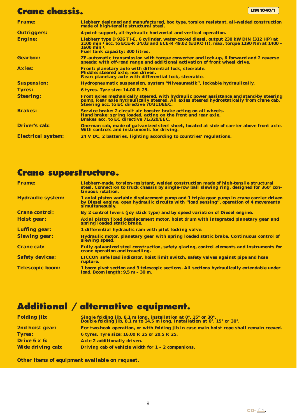# **Crane chassis. LTM**1040/1

| <b>Frame:</b>             | Liebherr designed and manufactured, box type, torsion resistant, all-welded construction<br>made of high-tensile structural steel.                                                                                                                                       |
|---------------------------|--------------------------------------------------------------------------------------------------------------------------------------------------------------------------------------------------------------------------------------------------------------------------|
| <b>Outriggers:</b>        | 4-point support, all-hydraulic horizontal and vertical operation.                                                                                                                                                                                                        |
| <b>Engine:</b>            | Liebherr type D 926 TI-E, 6 cylinder, water-cooled diesel, output 230 kW DIN (312 HP) at<br>$2100$ min <sup>-1</sup> acc. to ECE-R 24.03 and ECE-R 49.02 (EURO II), max. torque 1190 Nm at 1400 -<br>$1600 \text{ min}^{-1}$ .<br><b>Fuel tank capacity: 300 litres.</b> |
| <b>Gearbox:</b>           | <b>ZF-automatic transmission with torque converter and lock-up, 6 forward and 2 reverse</b><br>speeds: with off-road range and additional activation of front wheel drive.                                                                                               |
| <b>Axles:</b>             | Front: planetary axle with differential lock, steerable.<br>Middle: steered axle, non driven.<br>Rear: planetary axle with differential lock, steerable.                                                                                                                 |
| <b>Suspension:</b>        | Hydropneumatic suspension, system "Niveaumatik", lockable hydraulically.                                                                                                                                                                                                 |
| <b>Tyres:</b>             | 6 tyres. Tyre size: 14.00 R 25.                                                                                                                                                                                                                                          |
| <b>Steering:</b>          | Front axles mechanically steered, with hydraulic power assistance and stand-by steering<br>pump. Rear axle hydraulically steered. All axles steered hydrostatically from crane cab.<br>Steering acc. to EC directive 70/311/EEC.                                         |
| <b>Brakes:</b>            | Service brake: 2-circuit air booster brake acting on all wheels.<br>Hand brake: spring loaded, acting on the front and rear axle.<br><b>Brakes acc. to EC directive 71/320/EEC.</b>                                                                                      |
| <b>Driver's cab:</b>      | One-man cab, made of galvanized steel sheet, located at side of carrier above front axle.<br>With controls and instruments for driving.                                                                                                                                  |
| <b>Electrical system:</b> | 24 V DC, 2 batteries, lighting according to countries' regulations.                                                                                                                                                                                                      |

# **Crane superstructure.**

| <b>Frame:</b>            | Liebherr-made, torsion-resistant, welded construction made of high-tensile structural<br>steel. Connection to truck chassis by single-row ball slewing ring, designed for 360° con-<br>tinuous rotation. |
|--------------------------|----------------------------------------------------------------------------------------------------------------------------------------------------------------------------------------------------------|
| <b>Hydraulic system:</b> | 1 axial piston variable displacement pump and 1 triple gear pump in crane carrier driven<br>by Diesel engine, open hydraulic circuits with "load sensing", operation of 4 movements<br>simultaneously.   |
| <b>Crane control:</b>    | By 2 control levers (joy stick type) and by speed variation of Diesel engine.                                                                                                                            |
| Hoist gear:              | Axial piston fixed desplacement motor, hoist drum with integrated planetary gear and<br>spring loaded static brake.                                                                                      |
| <b>Luffing gear:</b>     | 1 differential hydraulic ram with pilot locking valve.                                                                                                                                                   |
| <b>Slewing gear:</b>     | Hydraulic motor, planetary gear with spring loaded static brake. Continuous control of<br>slewing speed.                                                                                                 |
| <b>Crane cab:</b>        | Fully galvanized steel construction, safety glazing, control elements and instruments for<br>crane operation and travelling.                                                                             |
| <b>Safety devices:</b>   | LICCON safe load indicator, hoist limit switch, safety valves against pipe and hose<br>rupture.                                                                                                          |
| <b>Telescopic boom:</b>  | 1 boom pivot section and 3 telescopic sections. All sections hydraulically extendable under<br>load. Boom length: 9,5 m - 30 m.                                                                          |

# **Additional / alternative equipment.**

| <b>Folding jib:</b>      | Single folding jib, 8,1 m long, installation at $0^{\circ}$ , 15° or 30°.<br>Double folding jib, 8,1 m to 14,5 m long, installation at $0^{\circ}$ , 15° or 30°. |
|--------------------------|------------------------------------------------------------------------------------------------------------------------------------------------------------------|
| 2nd hoist gear:          | For two-hook operation, or with folding jib in case main hoist rope shall remain reeved.                                                                         |
| <b>Tyres:</b>            | 6 tyres. Tyre size: 16.00 R 25 or 20.5 R 25.                                                                                                                     |
| Drive 6 x 6:             | Axle 2 additionally driven.                                                                                                                                      |
| <b>Wide driving cab:</b> | Driving cab of vehicle width for $1 - 2$ companions.                                                                                                             |

**Other items of equipment available on request.**